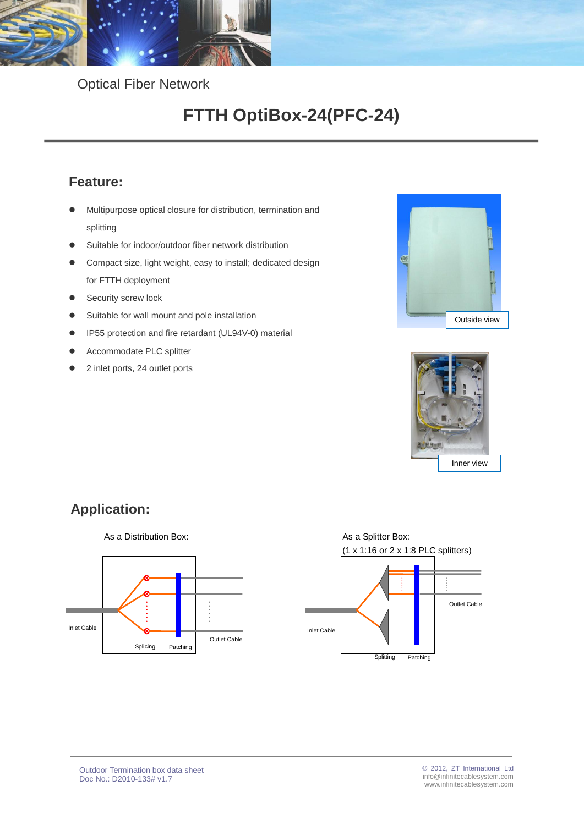

Optical Fiber Network

# **FTTH OptiBox-24(PFC-24)**

### **Feature:**

- Multipurpose optical closure for distribution, termination and splitting
- Suitable for indoor/outdoor fiber network distribution
- Compact size, light weight, easy to install; dedicated design for FTTH deployment
- **Security screw lock**
- Suitable for wall mount and pole installation
- IP55 protection and fire retardant (UL94V-0) material
- Accommodate PLC splitter
- 2 inlet ports, 24 outlet ports





## **Application:**



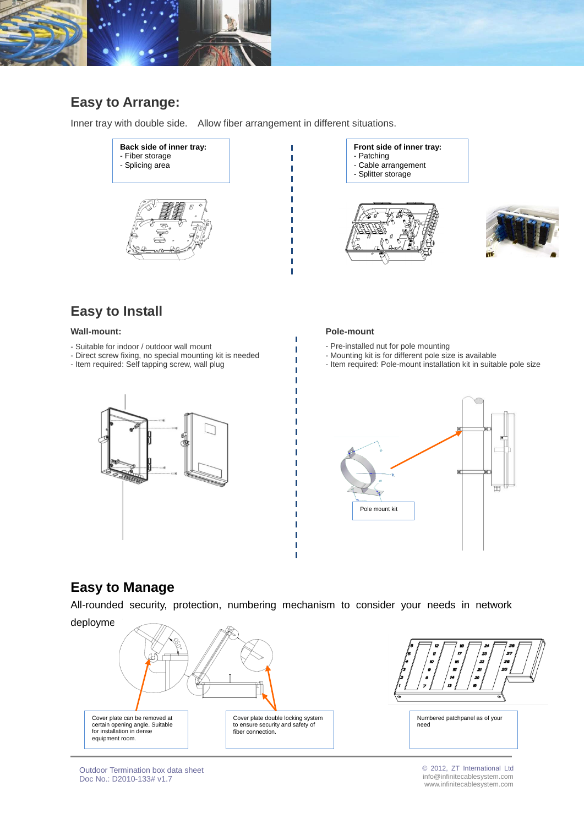

### **Easy to Arrange:**

Inner tray with double side. Allow fiber arrangement in different situations.



- **Front side of inner tray:**
- Patching
- Cable arrangement
- Splitter storage





### **Easy to Install**

#### **Wall-mount:**

- Suitable for indoor / outdoor wall mount
- Direct screw fixing, no special mounting kit is needed
- Item required: Self tapping screw, wall plug

#### **Pole-mount**

ľ I Ī T T

- Pre-installed nut for pole mounting
- Mounting kit is for different pole size is available
- Item required: Pole-mount installation kit in suitable pole size





### **Easy to Manage**

All-rounded security, protection, numbering mechanism to consider your needs in network

Ť Ť



Outdoor Termination box data sheet Doc No.: D2010-133# v1.7

© 2012, ZT International Ltd info@infinitecablesystem.com www.infinitecablesystem.com